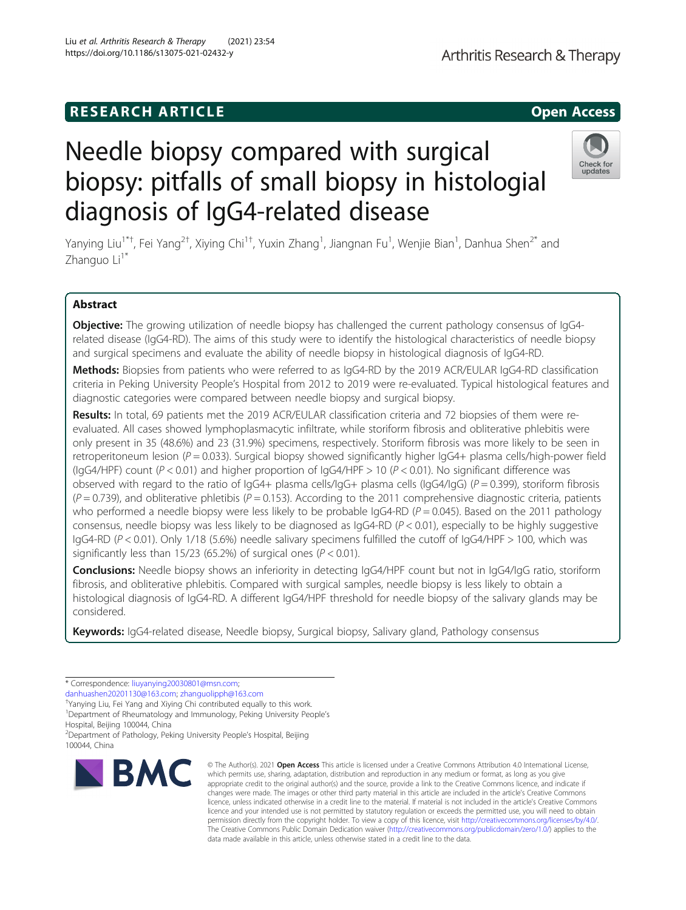# **RESEARCH ARTICLE Example 2014 12:30 The SEAR CH ACCESS**

# Needle biopsy compared with surgical biopsy: pitfalls of small biopsy in histologial diagnosis of IgG4-related disease

Yanying Liu<sup>1\*†</sup>, Fei Yang<sup>2†</sup>, Xiying Chi<sup>1†</sup>, Yuxin Zhang<sup>1</sup>, Jiangnan Fu<sup>1</sup>, Wenjie Bian<sup>1</sup>, Danhua Shen<sup>2\*</sup> and Zhanguo Li<sup>1\*</sup>

# Abstract

Objective: The growing utilization of needle biopsy has challenged the current pathology consensus of IgG4related disease (IgG4-RD). The aims of this study were to identify the histological characteristics of needle biopsy and surgical specimens and evaluate the ability of needle biopsy in histological diagnosis of IgG4-RD.

Methods: Biopsies from patients who were referred to as IgG4-RD by the 2019 ACR/EULAR IgG4-RD classification criteria in Peking University People's Hospital from 2012 to 2019 were re-evaluated. Typical histological features and diagnostic categories were compared between needle biopsy and surgical biopsy.

Results: In total, 69 patients met the 2019 ACR/EULAR classification criteria and 72 biopsies of them were reevaluated. All cases showed lymphoplasmacytic infiltrate, while storiform fibrosis and obliterative phlebitis were only present in 35 (48.6%) and 23 (31.9%) specimens, respectively. Storiform fibrosis was more likely to be seen in retroperitoneum lesion ( $P = 0.033$ ). Surgical biopsy showed significantly higher IgG4+ plasma cells/high-power field (IgG4/HPF) count ( $P < 0.01$ ) and higher proportion of IgG4/HPF > 10 ( $P < 0.01$ ). No significant difference was observed with regard to the ratio of  $\log 4+$  plasma cells/ $\log 4+$  plasma cells ( $\log 4$ / $\log$ ) ( $P = 0.399$ ), storiform fibrosis  $(P = 0.739)$ , and obliterative phletibis  $(P = 0.153)$ . According to the 2011 comprehensive diagnostic criteria, patients who performed a needle biopsy were less likely to be probable IgG4-RD ( $P = 0.045$ ). Based on the 2011 pathology consensus, needle biopsy was less likely to be diagnosed as  $\log 4$ -RD ( $P < 0.01$ ), especially to be highly suggestive IgG4-RD (P < 0.01). Only 1/18 (5.6%) needle salivary specimens fulfilled the cutoff of IgG4/HPF > 100, which was significantly less than 15/23 (65.2%) of surgical ones ( $P < 0.01$ ).

Conclusions: Needle biopsy shows an inferiority in detecting IgG4/HPF count but not in IgG4/IgG ratio, storiform fibrosis, and obliterative phlebitis. Compared with surgical samples, needle biopsy is less likely to obtain a histological diagnosis of IgG4-RD. A different IgG4/HPF threshold for needle biopsy of the salivary glands may be considered.

Keywords: IgG4-related disease, Needle biopsy, Surgical biopsy, Salivary gland, Pathology consensus

**BMC** 

Hospital, Beijing 100044, China

#### © The Author(s), 2021 **Open Access** This article is licensed under a Creative Commons Attribution 4.0 International License, which permits use, sharing, adaptation, distribution and reproduction in any medium or format, as long as you give appropriate credit to the original author(s) and the source, provide a link to the Creative Commons licence, and indicate if changes were made. The images or other third party material in this article are included in the article's Creative Commons licence, unless indicated otherwise in a credit line to the material. If material is not included in the article's Creative Commons licence and your intended use is not permitted by statutory regulation or exceeds the permitted use, you will need to obtain permission directly from the copyright holder. To view a copy of this licence, visit [http://creativecommons.org/licenses/by/4.0/.](http://creativecommons.org/licenses/by/4.0/) The Creative Commons Public Domain Dedication waiver [\(http://creativecommons.org/publicdomain/zero/1.0/](http://creativecommons.org/publicdomain/zero/1.0/)) applies to the data made available in this article, unless otherwise stated in a credit line to the data.

Liu et al. Arthritis Research & Therapy (2021) 23:54 https://doi.org/10.1186/s13075-021-02432-y





<sup>\*</sup> Correspondence: [liuyanying20030801@msn.com;](mailto:liuyanying20030801@msn.com)

[danhuashen20201130@163.com](mailto:danhuashen20201130@163.com); [zhanguolipph@163.com](mailto:zhanguolipph@163.com) †

<sup>&</sup>lt;sup>+</sup>Yanying Liu, Fei Yang and Xiying Chi contributed equally to this work.

<sup>&</sup>lt;sup>1</sup>Department of Rheumatology and Immunology, Peking University People's

<sup>2</sup> Department of Pathology, Peking University People's Hospital, Beijing 100044, China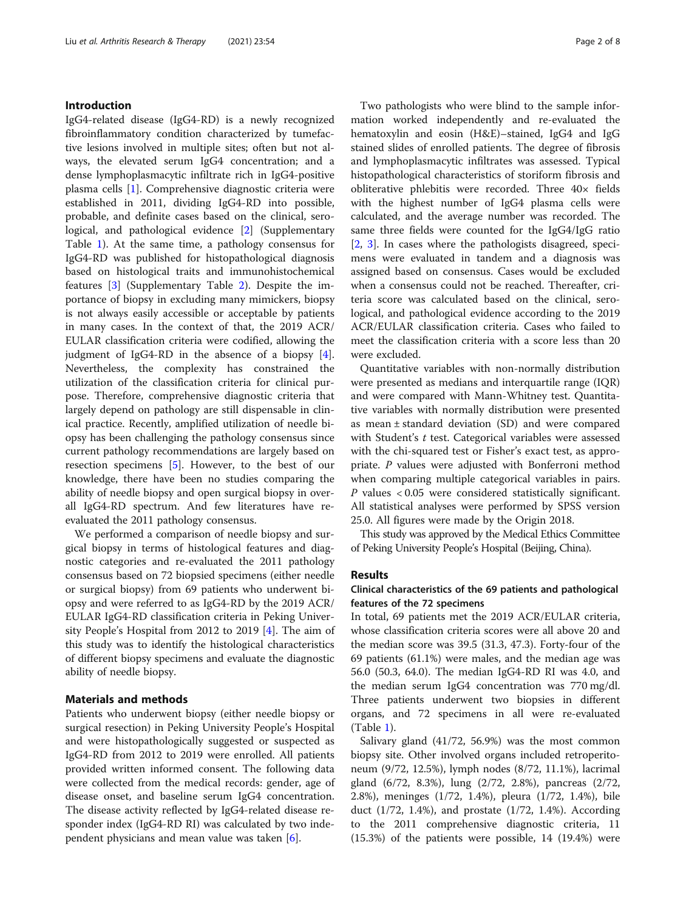# Introduction

IgG4-related disease (IgG4-RD) is a newly recognized fibroinflammatory condition characterized by tumefactive lesions involved in multiple sites; often but not always, the elevated serum IgG4 concentration; and a dense lymphoplasmacytic infiltrate rich in IgG4-positive plasma cells [\[1](#page-6-0)]. Comprehensive diagnostic criteria were established in 2011, dividing IgG4-RD into possible, probable, and definite cases based on the clinical, serological, and pathological evidence [[2\]](#page-6-0) (Supplementary Table [1\)](#page-6-0). At the same time, a pathology consensus for IgG4-RD was published for histopathological diagnosis based on histological traits and immunohistochemical features [[3\]](#page-6-0) (Supplementary Table [2](#page-6-0)). Despite the importance of biopsy in excluding many mimickers, biopsy is not always easily accessible or acceptable by patients in many cases. In the context of that, the 2019 ACR/ EULAR classification criteria were codified, allowing the judgment of IgG4-RD in the absence of a biopsy [\[4](#page-6-0)]. Nevertheless, the complexity has constrained the utilization of the classification criteria for clinical purpose. Therefore, comprehensive diagnostic criteria that largely depend on pathology are still dispensable in clinical practice. Recently, amplified utilization of needle biopsy has been challenging the pathology consensus since current pathology recommendations are largely based on resection specimens [[5\]](#page-6-0). However, to the best of our knowledge, there have been no studies comparing the ability of needle biopsy and open surgical biopsy in overall IgG4-RD spectrum. And few literatures have reevaluated the 2011 pathology consensus.

We performed a comparison of needle biopsy and surgical biopsy in terms of histological features and diagnostic categories and re-evaluated the 2011 pathology consensus based on 72 biopsied specimens (either needle or surgical biopsy) from 69 patients who underwent biopsy and were referred to as IgG4-RD by the 2019 ACR/ EULAR IgG4-RD classification criteria in Peking University People's Hospital from 2012 to 2019 [\[4](#page-6-0)]. The aim of this study was to identify the histological characteristics of different biopsy specimens and evaluate the diagnostic ability of needle biopsy.

# Materials and methods

Patients who underwent biopsy (either needle biopsy or surgical resection) in Peking University People's Hospital and were histopathologically suggested or suspected as IgG4-RD from 2012 to 2019 were enrolled. All patients provided written informed consent. The following data were collected from the medical records: gender, age of disease onset, and baseline serum IgG4 concentration. The disease activity reflected by IgG4-related disease responder index (IgG4-RD RI) was calculated by two independent physicians and mean value was taken [\[6](#page-6-0)].

Two pathologists who were blind to the sample information worked independently and re-evaluated the hematoxylin and eosin (H&E)–stained, IgG4 and IgG stained slides of enrolled patients. The degree of fibrosis and lymphoplasmacytic infiltrates was assessed. Typical histopathological characteristics of storiform fibrosis and obliterative phlebitis were recorded. Three 40× fields with the highest number of IgG4 plasma cells were calculated, and the average number was recorded. The same three fields were counted for the IgG4/IgG ratio [[2,](#page-6-0) [3\]](#page-6-0). In cases where the pathologists disagreed, specimens were evaluated in tandem and a diagnosis was assigned based on consensus. Cases would be excluded when a consensus could not be reached. Thereafter, criteria score was calculated based on the clinical, serological, and pathological evidence according to the 2019 ACR/EULAR classification criteria. Cases who failed to meet the classification criteria with a score less than 20 were excluded.

Quantitative variables with non-normally distribution were presented as medians and interquartile range (IQR) and were compared with Mann-Whitney test. Quantitative variables with normally distribution were presented as mean ± standard deviation (SD) and were compared with Student's  $t$  test. Categorical variables were assessed with the chi-squared test or Fisher's exact test, as appropriate. P values were adjusted with Bonferroni method when comparing multiple categorical variables in pairs. P values < 0.05 were considered statistically significant. All statistical analyses were performed by SPSS version 25.0. All figures were made by the Origin 2018.

This study was approved by the Medical Ethics Committee of Peking University People's Hospital (Beijing, China).

# Results

# Clinical characteristics of the 69 patients and pathological features of the 72 specimens

In total, 69 patients met the 2019 ACR/EULAR criteria, whose classification criteria scores were all above 20 and the median score was 39.5 (31.3, 47.3). Forty-four of the 69 patients (61.1%) were males, and the median age was 56.0 (50.3, 64.0). The median IgG4-RD RI was 4.0, and the median serum IgG4 concentration was 770 mg/dl. Three patients underwent two biopsies in different organs, and 72 specimens in all were re-evaluated (Table [1\)](#page-2-0).

Salivary gland (41/72, 56.9%) was the most common biopsy site. Other involved organs included retroperitoneum (9/72, 12.5%), lymph nodes (8/72, 11.1%), lacrimal gland (6/72, 8.3%), lung (2/72, 2.8%), pancreas (2/72, 2.8%), meninges (1/72, 1.4%), pleura (1/72, 1.4%), bile duct (1/72, 1.4%), and prostate (1/72, 1.4%). According to the 2011 comprehensive diagnostic criteria, 11 (15.3%) of the patients were possible, 14 (19.4%) were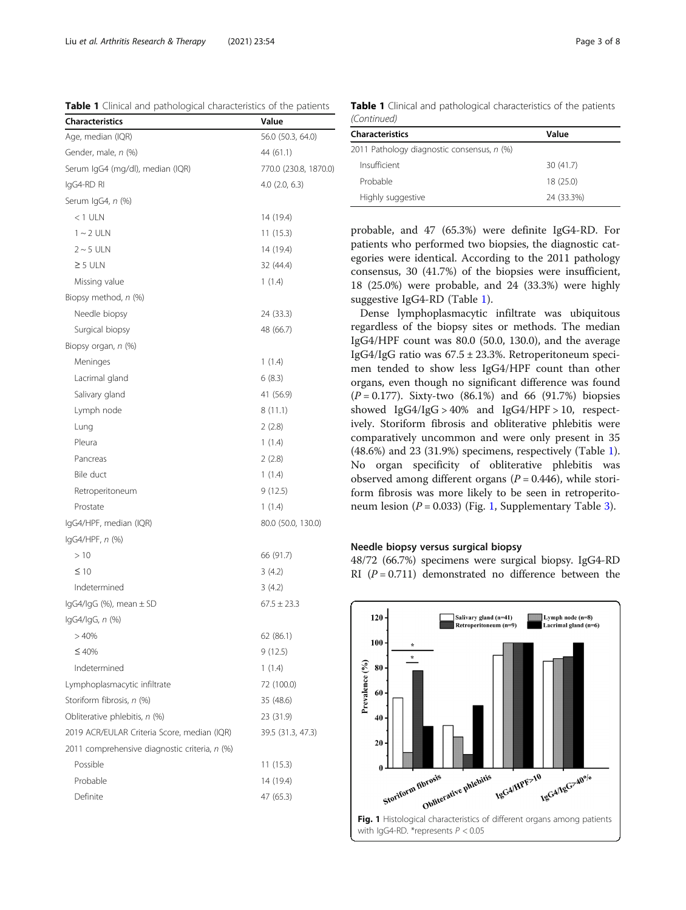<span id="page-2-0"></span>Liu et al. Arthritis Research & Therapy (2021) 23:54 Page 3 of 8

Table 1 Clinical and pathological characteristics of the patients

| <b>Characteristics</b>                        | Value                 |  |  |
|-----------------------------------------------|-----------------------|--|--|
| Age, median (IQR)                             | 56.0 (50.3, 64.0)     |  |  |
| Gender, male, n (%)                           | 44 (61.1)             |  |  |
| Serum IgG4 (mg/dl), median (IQR)              | 770.0 (230.8, 1870.0) |  |  |
| IgG4-RD RI                                    | 4.0 (2.0, 6.3)        |  |  |
| Serum IgG4, n (%)                             |                       |  |  |
| $<$ 1 ULN                                     | 14 (19.4)             |  |  |
| $1 - 2$ ULN                                   | 11 (15.3)             |  |  |
| $2 \sim 5$ ULN                                | 14 (19.4)             |  |  |
| $\geq$ 5 ULN                                  | 32 (44.4)             |  |  |
| Missing value                                 | 1(1.4)                |  |  |
| Biopsy method, n (%)                          |                       |  |  |
| Needle biopsy                                 | 24 (33.3)             |  |  |
| Surgical biopsy                               | 48 (66.7)             |  |  |
| Biopsy organ, n (%)                           |                       |  |  |
| Meninges                                      | 1(1.4)                |  |  |
| Lacrimal gland                                | 6(8.3)                |  |  |
| Salivary gland                                | 41 (56.9)             |  |  |
| Lymph node                                    | 8(11.1)               |  |  |
| Lung                                          | 2(2.8)                |  |  |
| Pleura                                        | 1(1.4)                |  |  |
| Pancreas                                      | 2(2.8)                |  |  |
| Bile duct                                     | 1(1.4)                |  |  |
| Retroperitoneum                               | 9(12.5)               |  |  |
| Prostate                                      | 1(1.4)                |  |  |
| IgG4/HPF, median (IQR)                        | 80.0 (50.0, 130.0)    |  |  |
| $lgG4/HPF, n$ (%)                             |                       |  |  |
| >10                                           | 66 (91.7)             |  |  |
| $\leq 10$                                     | 3(4.2)                |  |  |
| Indetermined                                  | 3(4.2)                |  |  |
| $lgG4/lgG$ (%), mean $\pm$ SD                 | $67.5 \pm 23.3$       |  |  |
| lgG4/lgG, n (%)                               |                       |  |  |
| >40%                                          | 62 (86.1)             |  |  |
| ≤40%                                          | 9(12.5)               |  |  |
| Indetermined                                  | 1(1.4)                |  |  |
| Lymphoplasmacytic infiltrate                  | 72 (100.0)            |  |  |
| Storiform fibrosis, n (%)                     | 35 (48.6)             |  |  |
| Obliterative phlebitis, n (%)                 | 23 (31.9)             |  |  |
| 2019 ACR/EULAR Criteria Score, median (IQR)   | 39.5 (31.3, 47.3)     |  |  |
| 2011 comprehensive diagnostic criteria, n (%) |                       |  |  |
| Possible                                      | 11 (15.3)             |  |  |
| Probable                                      | 14 (19.4)             |  |  |
| Definite                                      | 47 (65.3)             |  |  |
|                                               |                       |  |  |

Table 1 Clinical and pathological characteristics of the patients (Continued)

| <b>Characteristics</b>                     | Value      |
|--------------------------------------------|------------|
| 2011 Pathology diagnostic consensus, n (%) |            |
| Insufficient                               | 30(41.7)   |
| Probable                                   | 18 (25.0)  |
| Highly suggestive                          | 24 (33.3%) |

probable, and 47 (65.3%) were definite IgG4-RD. For patients who performed two biopsies, the diagnostic categories were identical. According to the 2011 pathology consensus, 30 (41.7%) of the biopsies were insufficient, 18 (25.0%) were probable, and 24 (33.3%) were highly suggestive IgG4-RD (Table 1).

Dense lymphoplasmacytic infiltrate was ubiquitous regardless of the biopsy sites or methods. The median IgG4/HPF count was 80.0 (50.0, 130.0), and the average IgG4/IgG ratio was  $67.5 \pm 23.3$ %. Retroperitoneum specimen tended to show less IgG4/HPF count than other organs, even though no significant difference was found  $(P = 0.177)$ . Sixty-two  $(86.1\%)$  and 66  $(91.7\%)$  biopsies showed IgG4/IgG > 40% and IgG4/HPF > 10, respectively. Storiform fibrosis and obliterative phlebitis were comparatively uncommon and were only present in 35 (48.6%) and 23 (31.9%) specimens, respectively (Table 1). No organ specificity of obliterative phlebitis was observed among different organs  $(P = 0.446)$ , while storiform fibrosis was more likely to be seen in retroperitoneum lesion ( $P = 0.033$ ) (Fig. 1, Supplementary Table [3\)](#page-6-0).

# Needle biopsy versus surgical biopsy

48/72 (66.7%) specimens were surgical biopsy. IgG4-RD RI  $(P = 0.711)$  demonstrated no difference between the

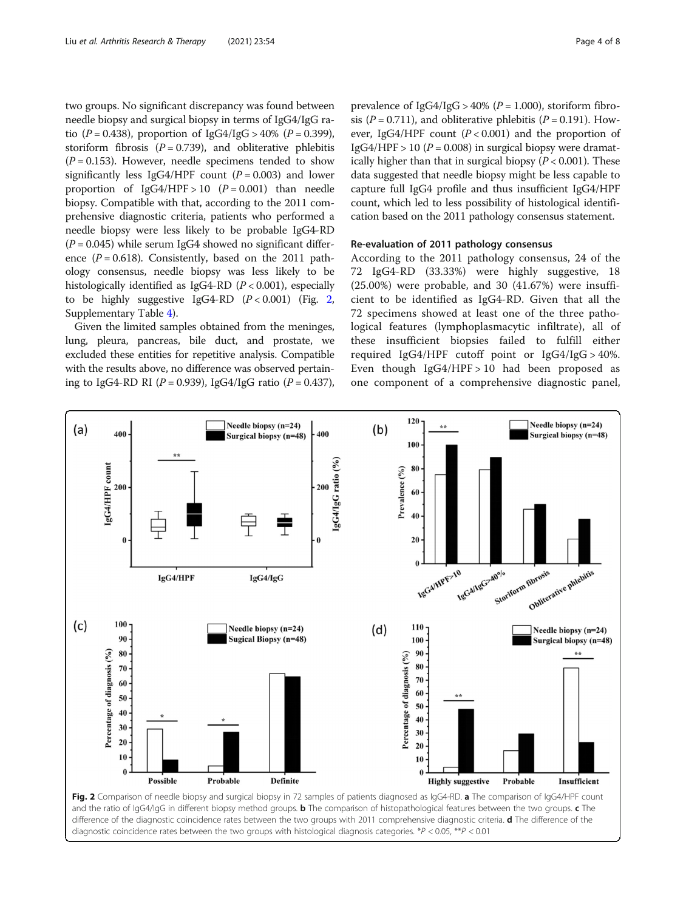two groups. No significant discrepancy was found between needle biopsy and surgical biopsy in terms of IgG4/IgG ratio  $(P = 0.438)$ , proportion of  $IgG4/IgG > 40\%$   $(P = 0.399)$ , storiform fibrosis ( $P = 0.739$ ), and obliterative phlebitis  $(P = 0.153)$ . However, needle specimens tended to show significantly less IgG4/HPF count  $(P = 0.003)$  and lower proportion of  $IgG4/HPF > 10$   $(P = 0.001)$  than needle biopsy. Compatible with that, according to the 2011 comprehensive diagnostic criteria, patients who performed a needle biopsy were less likely to be probable IgG4-RD  $(P = 0.045)$  while serum IgG4 showed no significant difference  $(P = 0.618)$ . Consistently, based on the 2011 pathology consensus, needle biopsy was less likely to be histologically identified as IgG4-RD  $(P < 0.001)$ , especially to be highly suggestive IgG4-RD  $(P < 0.001)$  (Fig. 2, Supplementary Table [4\)](#page-6-0).

Given the limited samples obtained from the meninges, lung, pleura, pancreas, bile duct, and prostate, we excluded these entities for repetitive analysis. Compatible with the results above, no difference was observed pertaining to IgG4-RD RI ( $P = 0.939$ ), IgG4/IgG ratio ( $P = 0.437$ ),

prevalence of  $IggG4/IgG > 40%$  ( $P = 1.000$ ), storiform fibrosis ( $P = 0.711$ ), and obliterative phlebitis ( $P = 0.191$ ). However, IgG4/HPF count  $(P < 0.001)$  and the proportion of IgG4/HPF > 10 ( $P = 0.008$ ) in surgical biopsy were dramatically higher than that in surgical biopsy  $(P < 0.001)$ . These data suggested that needle biopsy might be less capable to capture full IgG4 profile and thus insufficient IgG4/HPF count, which led to less possibility of histological identification based on the 2011 pathology consensus statement.

# Re-evaluation of 2011 pathology consensus

According to the 2011 pathology consensus, 24 of the 72 IgG4-RD (33.33%) were highly suggestive, 18 (25.00%) were probable, and 30 (41.67%) were insufficient to be identified as IgG4-RD. Given that all the 72 specimens showed at least one of the three pathological features (lymphoplasmacytic infiltrate), all of these insufficient biopsies failed to fulfill either required IgG4/HPF cutoff point or  $IgG4/IgG > 40\%$ . Even though IgG4/HPF > 10 had been proposed as one component of a comprehensive diagnostic panel,



difference of the diagnostic coincidence rates between the two groups with 2011 comprehensive diagnostic criteria. d The difference of the diagnostic coincidence rates between the two groups with histological diagnosis categories. \*P < 0.05, \*\*P < 0.01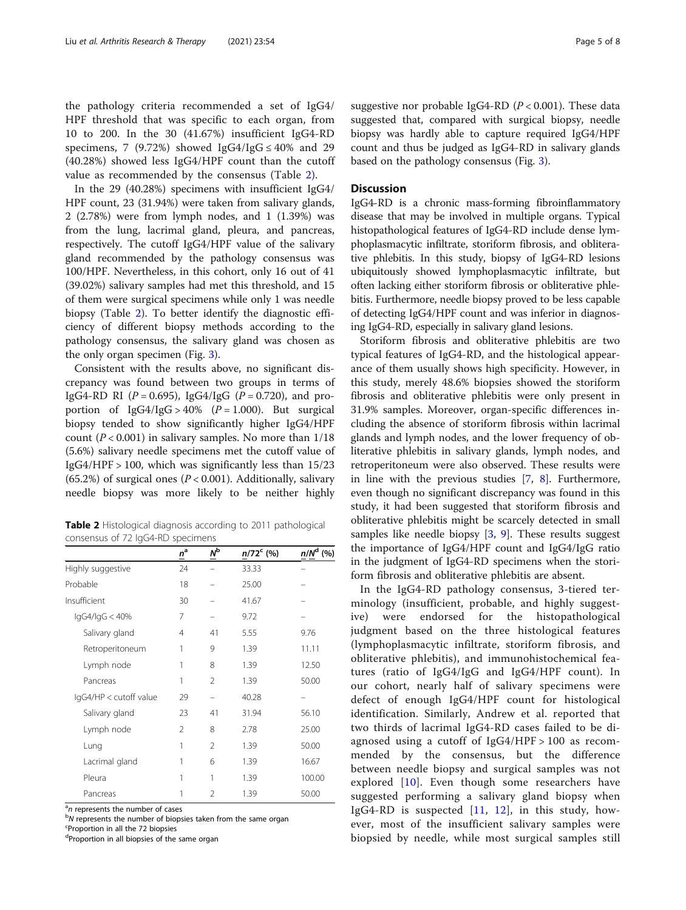the pathology criteria recommended a set of IgG4/ HPF threshold that was specific to each organ, from 10 to 200. In the 30 (41.67%) insufficient IgG4-RD specimens, 7 (9.72%) showed IgG4/IgG  $\leq 40\%$  and 29 (40.28%) showed less IgG4/HPF count than the cutoff value as recommended by the consensus (Table 2).

In the 29 (40.28%) specimens with insufficient IgG4/ HPF count, 23 (31.94%) were taken from salivary glands, 2 (2.78%) were from lymph nodes, and 1 (1.39%) was from the lung, lacrimal gland, pleura, and pancreas, respectively. The cutoff IgG4/HPF value of the salivary gland recommended by the pathology consensus was 100/HPF. Nevertheless, in this cohort, only 16 out of 41 (39.02%) salivary samples had met this threshold, and 15 of them were surgical specimens while only 1 was needle biopsy (Table 2). To better identify the diagnostic efficiency of different biopsy methods according to the pathology consensus, the salivary gland was chosen as the only organ specimen (Fig. [3](#page-5-0)).

Consistent with the results above, no significant discrepancy was found between two groups in terms of IgG4-RD RI ( $P = 0.695$ ), IgG4/IgG ( $P = 0.720$ ), and proportion of  $IgG4/IgG > 40\%$  ( $P = 1.000$ ). But surgical biopsy tended to show significantly higher IgG4/HPF count ( $P < 0.001$ ) in salivary samples. No more than  $1/18$ (5.6%) salivary needle specimens met the cutoff value of IgG4/HPF > 100, which was significantly less than 15/23 (65.2%) of surgical ones ( $P < 0.001$ ). Additionally, salivary needle biopsy was more likely to be neither highly

Table 2 Histological diagnosis according to 2011 pathological consensus of 72 IgG4-RD specimens

|                        | $n^a$          | Νþ             | $n/72^c$ (%) | $n/Nd$ (%) |
|------------------------|----------------|----------------|--------------|------------|
| Highly suggestive      | 24             |                | 33.33        |            |
| Probable               | 18             |                | 25.00        |            |
| Insufficient           | 30             |                | 41.67        |            |
| lgG4/lgG < 40%         | 7              |                | 9.72         |            |
| Salivary gland         | $\overline{4}$ | 41             | 5.55         | 9.76       |
| Retroperitoneum        | 1              | 9              | 1.39         | 11.11      |
| Lymph node             | 1              | 8              | 1.39         | 12.50      |
| Pancreas               | 1              | $\mathfrak{D}$ | 1.39         | 50.00      |
| IgG4/HP < cutoff value | 29             |                | 40.28        |            |
| Salivary gland         | 23             | 41             | 31.94        | 56.10      |
| Lymph node             | $\overline{2}$ | 8              | 2.78         | 25.00      |
| Lung                   | 1              | $\mathfrak{D}$ | 1.39         | 50.00      |
| Lacrimal gland         | 1              | 6              | 1.39         | 16.67      |
| Pleura                 | 1              | 1              | 1.39         | 100.00     |
| Pancreas               | 1              | $\mathfrak{D}$ | 1.39         | 50.00      |

<sup>a</sup>n represents the number of cases

<sup>b</sup>N represents the number of biopsies taken from the same organ

Proportion in all the 72 biopsies

<sup>d</sup>Proportion in all biopsies of the same organ

suggestive nor probable IgG4-RD ( $P < 0.001$ ). These data suggested that, compared with surgical biopsy, needle biopsy was hardly able to capture required IgG4/HPF count and thus be judged as IgG4-RD in salivary glands based on the pathology consensus (Fig. [3\)](#page-5-0).

# **Discussion**

IgG4-RD is a chronic mass-forming fibroinflammatory disease that may be involved in multiple organs. Typical histopathological features of IgG4-RD include dense lymphoplasmacytic infiltrate, storiform fibrosis, and obliterative phlebitis. In this study, biopsy of IgG4-RD lesions ubiquitously showed lymphoplasmacytic infiltrate, but often lacking either storiform fibrosis or obliterative phlebitis. Furthermore, needle biopsy proved to be less capable of detecting IgG4/HPF count and was inferior in diagnosing IgG4-RD, especially in salivary gland lesions.

Storiform fibrosis and obliterative phlebitis are two typical features of IgG4-RD, and the histological appearance of them usually shows high specificity. However, in this study, merely 48.6% biopsies showed the storiform fibrosis and obliterative phlebitis were only present in 31.9% samples. Moreover, organ-specific differences including the absence of storiform fibrosis within lacrimal glands and lymph nodes, and the lower frequency of obliterative phlebitis in salivary glands, lymph nodes, and retroperitoneum were also observed. These results were in line with the previous studies [\[7](#page-6-0), [8\]](#page-6-0). Furthermore, even though no significant discrepancy was found in this study, it had been suggested that storiform fibrosis and obliterative phlebitis might be scarcely detected in small samples like needle biopsy [[3,](#page-6-0) [9\]](#page-6-0). These results suggest the importance of IgG4/HPF count and IgG4/IgG ratio in the judgment of IgG4-RD specimens when the storiform fibrosis and obliterative phlebitis are absent.

In the IgG4-RD pathology consensus, 3-tiered terminology (insufficient, probable, and highly suggestive) were endorsed for the histopathological judgment based on the three histological features (lymphoplasmacytic infiltrate, storiform fibrosis, and obliterative phlebitis), and immunohistochemical features (ratio of IgG4/IgG and IgG4/HPF count). In our cohort, nearly half of salivary specimens were defect of enough IgG4/HPF count for histological identification. Similarly, Andrew et al. reported that two thirds of lacrimal IgG4-RD cases failed to be diagnosed using a cutoff of IgG4/HPF > 100 as recommended by the consensus, but the difference between needle biopsy and surgical samples was not explored [\[10](#page-6-0)]. Even though some researchers have suggested performing a salivary gland biopsy when IgG4-RD is suspected [\[11,](#page-7-0) [12\]](#page-7-0), in this study, however, most of the insufficient salivary samples were biopsied by needle, while most surgical samples still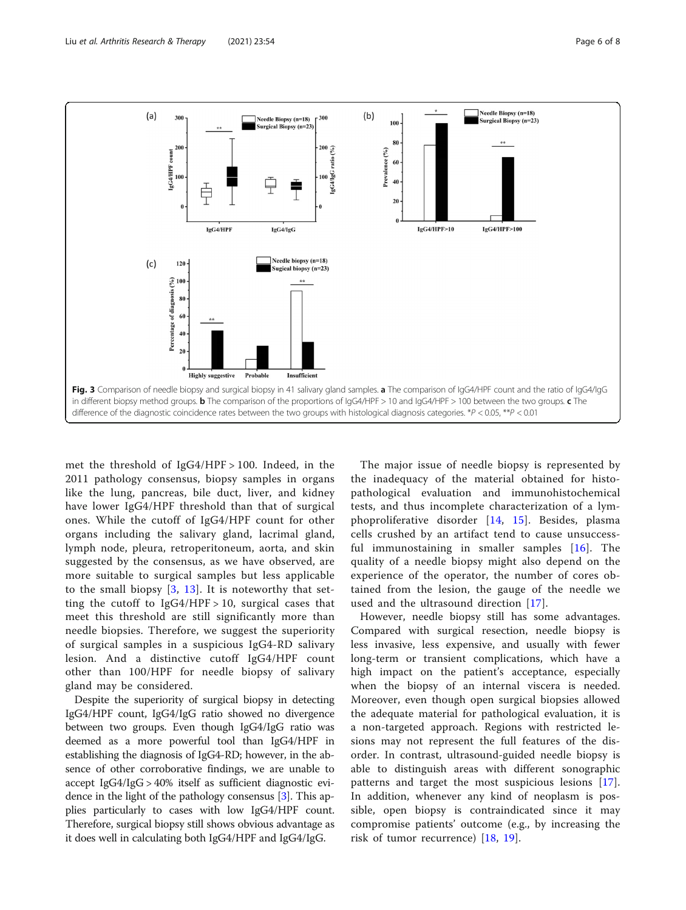<span id="page-5-0"></span>

met the threshold of IgG4/HPF > 100. Indeed, in the 2011 pathology consensus, biopsy samples in organs like the lung, pancreas, bile duct, liver, and kidney have lower IgG4/HPF threshold than that of surgical ones. While the cutoff of IgG4/HPF count for other organs including the salivary gland, lacrimal gland, lymph node, pleura, retroperitoneum, aorta, and skin suggested by the consensus, as we have observed, are more suitable to surgical samples but less applicable to the small biopsy [\[3](#page-6-0), [13](#page-7-0)]. It is noteworthy that setting the cutoff to  $IgG4/HPF > 10$ , surgical cases that meet this threshold are still significantly more than needle biopsies. Therefore, we suggest the superiority of surgical samples in a suspicious IgG4-RD salivary lesion. And a distinctive cutoff IgG4/HPF count other than 100/HPF for needle biopsy of salivary gland may be considered.

Despite the superiority of surgical biopsy in detecting IgG4/HPF count, IgG4/IgG ratio showed no divergence between two groups. Even though IgG4/IgG ratio was deemed as a more powerful tool than IgG4/HPF in establishing the diagnosis of IgG4-RD; however, in the absence of other corroborative findings, we are unable to accept IgG4/IgG > 40% itself as sufficient diagnostic evidence in the light of the pathology consensus [\[3\]](#page-6-0). This applies particularly to cases with low IgG4/HPF count. Therefore, surgical biopsy still shows obvious advantage as it does well in calculating both IgG4/HPF and IgG4/IgG.

The major issue of needle biopsy is represented by the inadequacy of the material obtained for histopathological evaluation and immunohistochemical tests, and thus incomplete characterization of a lymphoproliferative disorder [\[14,](#page-7-0) [15](#page-7-0)]. Besides, plasma cells crushed by an artifact tend to cause unsuccessful immunostaining in smaller samples  $[16]$  $[16]$ . The quality of a needle biopsy might also depend on the experience of the operator, the number of cores obtained from the lesion, the gauge of the needle we used and the ultrasound direction [\[17](#page-7-0)].

However, needle biopsy still has some advantages. Compared with surgical resection, needle biopsy is less invasive, less expensive, and usually with fewer long-term or transient complications, which have a high impact on the patient's acceptance, especially when the biopsy of an internal viscera is needed. Moreover, even though open surgical biopsies allowed the adequate material for pathological evaluation, it is a non-targeted approach. Regions with restricted lesions may not represent the full features of the disorder. In contrast, ultrasound-guided needle biopsy is able to distinguish areas with different sonographic patterns and target the most suspicious lesions [\[17](#page-7-0)]. In addition, whenever any kind of neoplasm is possible, open biopsy is contraindicated since it may compromise patients' outcome (e.g., by increasing the risk of tumor recurrence) [[18,](#page-7-0) [19](#page-7-0)].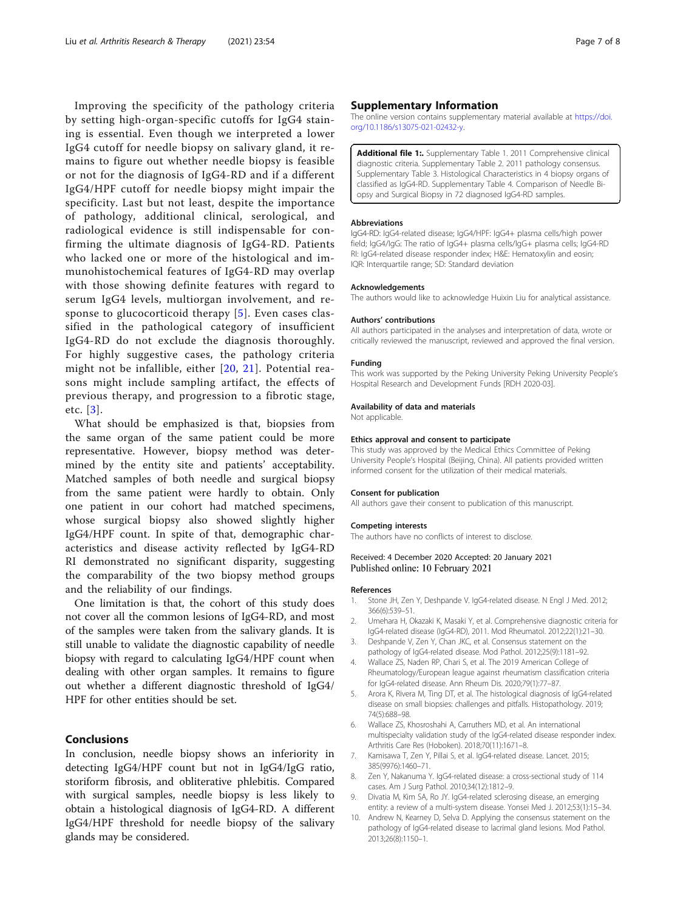<span id="page-6-0"></span>Improving the specificity of the pathology criteria by setting high-organ-specific cutoffs for IgG4 staining is essential. Even though we interpreted a lower IgG4 cutoff for needle biopsy on salivary gland, it remains to figure out whether needle biopsy is feasible or not for the diagnosis of IgG4-RD and if a different IgG4/HPF cutoff for needle biopsy might impair the specificity. Last but not least, despite the importance of pathology, additional clinical, serological, and radiological evidence is still indispensable for confirming the ultimate diagnosis of IgG4-RD. Patients who lacked one or more of the histological and immunohistochemical features of IgG4-RD may overlap with those showing definite features with regard to serum IgG4 levels, multiorgan involvement, and response to glucocorticoid therapy [5]. Even cases classified in the pathological category of insufficient IgG4-RD do not exclude the diagnosis thoroughly. For highly suggestive cases, the pathology criteria might not be infallible, either [\[20,](#page-7-0) [21](#page-7-0)]. Potential reasons might include sampling artifact, the effects of previous therapy, and progression to a fibrotic stage, etc. [3].

What should be emphasized is that, biopsies from the same organ of the same patient could be more representative. However, biopsy method was determined by the entity site and patients' acceptability. Matched samples of both needle and surgical biopsy from the same patient were hardly to obtain. Only one patient in our cohort had matched specimens, whose surgical biopsy also showed slightly higher IgG4/HPF count. In spite of that, demographic characteristics and disease activity reflected by IgG4-RD RI demonstrated no significant disparity, suggesting the comparability of the two biopsy method groups and the reliability of our findings.

One limitation is that, the cohort of this study does not cover all the common lesions of IgG4-RD, and most of the samples were taken from the salivary glands. It is still unable to validate the diagnostic capability of needle biopsy with regard to calculating IgG4/HPF count when dealing with other organ samples. It remains to figure out whether a different diagnostic threshold of IgG4/ HPF for other entities should be set.

# Conclusions

In conclusion, needle biopsy shows an inferiority in detecting IgG4/HPF count but not in IgG4/IgG ratio, storiform fibrosis, and obliterative phlebitis. Compared with surgical samples, needle biopsy is less likely to obtain a histological diagnosis of IgG4-RD. A different IgG4/HPF threshold for needle biopsy of the salivary glands may be considered.

## Supplementary Information

The online version contains supplementary material available at [https://doi.](https://doi.org/10.1186/s13075-021-02432-y) [org/10.1186/s13075-021-02432-y](https://doi.org/10.1186/s13075-021-02432-y).

Additional file 1: Supplementary Table 1. 2011 Comprehensive clinical diagnostic criteria. Supplementary Table 2. 2011 pathology consensus. Supplementary Table 3. Histological Characteristics in 4 biopsy organs of classified as IgG4-RD. Supplementary Table 4. Comparison of Needle Biopsy and Surgical Biopsy in 72 diagnosed IgG4-RD samples.

#### **Abbreviations**

IgG4-RD: IgG4-related disease; IgG4/HPF: IgG4+ plasma cells/high power field; IgG4/IgG: The ratio of IgG4+ plasma cells/IgG+ plasma cells; IgG4-RD RI: IgG4-related disease responder index; H&E: Hematoxylin and eosin; IQR: Interquartile range; SD: Standard deviation

#### Acknowledgements

The authors would like to acknowledge Huixin Liu for analytical assistance.

#### Authors' contributions

All authors participated in the analyses and interpretation of data, wrote or critically reviewed the manuscript, reviewed and approved the final version.

#### Funding

This work was supported by the Peking University Peking University People's Hospital Research and Development Funds [RDH 2020-03].

#### Availability of data and materials

Not applicable.

#### Ethics approval and consent to participate

This study was approved by the Medical Ethics Committee of Peking University People's Hospital (Beijing, China). All patients provided written informed consent for the utilization of their medical materials.

#### Consent for publication

All authors gave their consent to publication of this manuscript.

#### Competing interests

The authors have no conflicts of interest to disclose.

### Received: 4 December 2020 Accepted: 20 January 2021 Published online: 10 February 2021

#### References

- 1. Stone JH, Zen Y, Deshpande V. IgG4-related disease. N Engl J Med. 2012; 366(6):539–51.
- 2. Umehara H, Okazaki K, Masaki Y, et al. Comprehensive diagnostic criteria for IgG4-related disease (IgG4-RD), 2011. Mod Rheumatol. 2012;22(1):21–30.
- 3. Deshpande V, Zen Y, Chan JKC, et al. Consensus statement on the pathology of IgG4-related disease. Mod Pathol. 2012;25(9):1181–92.
- 4. Wallace ZS, Naden RP, Chari S, et al. The 2019 American College of Rheumatology/European league against rheumatism classification criteria for IgG4-related disease. Ann Rheum Dis. 2020;79(1):77–87.
- 5. Arora K, Rivera M, Ting DT, et al. The histological diagnosis of IgG4-related disease on small biopsies: challenges and pitfalls. Histopathology. 2019; 74(5):688–98.
- 6. Wallace ZS, Khosroshahi A, Carruthers MD, et al. An international multispecialty validation study of the IgG4-related disease responder index. Arthritis Care Res (Hoboken). 2018;70(11):1671–8.
- 7. Kamisawa T, Zen Y, Pillai S, et al. IgG4-related disease. Lancet. 2015; 385(9976):1460–71.
- 8. Zen Y, Nakanuma Y. IgG4-related disease: a cross-sectional study of 114 cases. Am J Surg Pathol. 2010;34(12):1812–9.
- 9. Divatia M, Kim SA, Ro JY. IgG4-related sclerosing disease, an emerging entity: a review of a multi-system disease. Yonsei Med J. 2012;53(1):15–34.
- 10. Andrew N, Kearney D, Selva D. Applying the consensus statement on the pathology of IgG4-related disease to lacrimal gland lesions. Mod Pathol. 2013;26(8):1150–1.